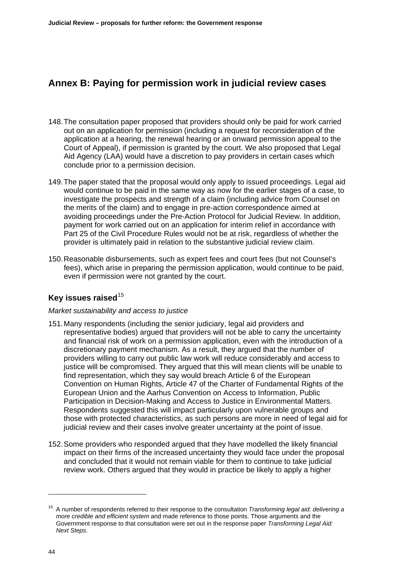# **Annex B: Paying for permission work in judicial review cases**

- 148. The consultation paper proposed that providers should only be paid for work carried out on an application for permission (including a request for reconsideration of the application at a hearing, the renewal hearing or an onward permission appeal to the Court of Appeal), if permission is granted by the court. We also proposed that Legal Aid Agency (LAA) would have a discretion to pay providers in certain cases which conclude prior to a permission decision.
- 149. The paper stated that the proposal would only apply to issued proceedings. Legal aid would continue to be paid in the same way as now for the earlier stages of a case, to investigate the prospects and strength of a claim (including advice from Counsel on the merits of the claim) and to engage in pre-action correspondence aimed at avoiding proceedings under the Pre-Action Protocol for Judicial Review. In addition, payment for work carried out on an application for interim relief in accordance with Part 25 of the Civil Procedure Rules would not be at risk, regardless of whether the provider is ultimately paid in relation to the substantive judicial review claim.
- 150. Reasonable disbursements, such as expert fees and court fees (but not Counsel's fees), which arise in preparing the permission application, would continue to be paid, even if permission were not granted by the court.

# **Key issues raised**<sup>[15](#page-0-0)</sup>

## *Market sustainability and access to justice*

- 151. Many respondents (including the senior judiciary, legal aid providers and representative bodies) argued that providers will not be able to carry the uncertainty and financial risk of work on a permission application, even with the introduction of a discretionary payment mechanism. As a result, they argued that the number of providers willing to carry out public law work will reduce considerably and access to justice will be compromised. They argued that this will mean clients will be unable to find representation, which they say would breach Article 6 of the European Convention on Human Rights, Article 47 of the Charter of Fundamental Rights of the European Union and the Aarhus Convention on Access to Information, Public Participation in Decision-Making and Access to Justice in Environmental Matters. Respondents suggested this will impact particularly upon vulnerable groups and those with protected characteristics, as such persons are more in need of legal aid for judicial review and their cases involve greater uncertainty at the point of issue.
- 152. Some providers who responded argued that they have modelled the likely financial impact on their firms of the increased uncertainty they would face under the proposal and concluded that it would not remain viable for them to continue to take judicial review work. Others argued that they would in practice be likely to apply a higher

-

<span id="page-0-0"></span><sup>15</sup> A number of respondents referred to their response to the consultation *Transforming legal aid: delivering a more credible and efficient system* and made reference to those points. Those arguments and the Government response to that consultation were set out in the response paper *Transforming Legal Aid: Next Steps*.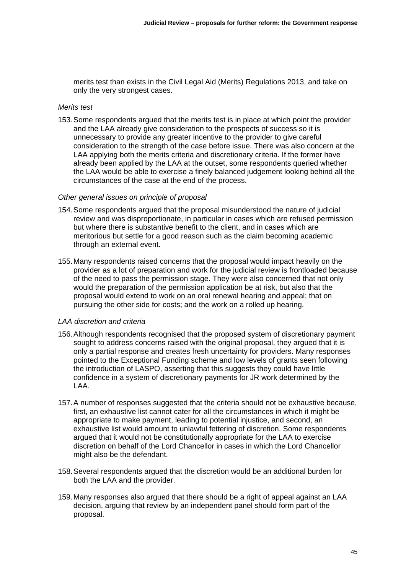merits test than exists in the Civil Legal Aid (Merits) Regulations 2013, and take on only the very strongest cases.

#### *Merits test*

153. Some respondents argued that the merits test is in place at which point the provider and the LAA already give consideration to the prospects of success so it is unnecessary to provide any greater incentive to the provider to give careful consideration to the strength of the case before issue. There was also concern at the LAA applying both the merits criteria and discretionary criteria. If the former have already been applied by the LAA at the outset, some respondents queried whether the LAA would be able to exercise a finely balanced judgement looking behind all the circumstances of the case at the end of the process.

#### *Other general issues on principle of proposal*

- 154. Some respondents argued that the proposal misunderstood the nature of judicial review and was disproportionate, in particular in cases which are refused permission but where there is substantive benefit to the client, and in cases which are meritorious but settle for a good reason such as the claim becoming academic through an external event.
- 155. Many respondents raised concerns that the proposal would impact heavily on the provider as a lot of preparation and work for the judicial review is frontloaded because of the need to pass the permission stage. They were also concerned that not only would the preparation of the permission application be at risk, but also that the proposal would extend to work on an oral renewal hearing and appeal; that on pursuing the other side for costs; and the work on a rolled up hearing.

## *LAA discretion and criteria*

- 156. Although respondents recognised that the proposed system of discretionary payment sought to address concerns raised with the original proposal, they argued that it is only a partial response and creates fresh uncertainty for providers. Many responses pointed to the Exceptional Funding scheme and low levels of grants seen following the introduction of LASPO, asserting that this suggests they could have little confidence in a system of discretionary payments for JR work determined by the LAA.
- 157. A number of responses suggested that the criteria should not be exhaustive because, first, an exhaustive list cannot cater for all the circumstances in which it might be appropriate to make payment, leading to potential injustice, and second, an exhaustive list would amount to unlawful fettering of discretion. Some respondents argued that it would not be constitutionally appropriate for the LAA to exercise discretion on behalf of the Lord Chancellor in cases in which the Lord Chancellor might also be the defendant.
- 158. Several respondents argued that the discretion would be an additional burden for both the LAA and the provider.
- 159. Many responses also argued that there should be a right of appeal against an LAA decision, arguing that review by an independent panel should form part of the proposal.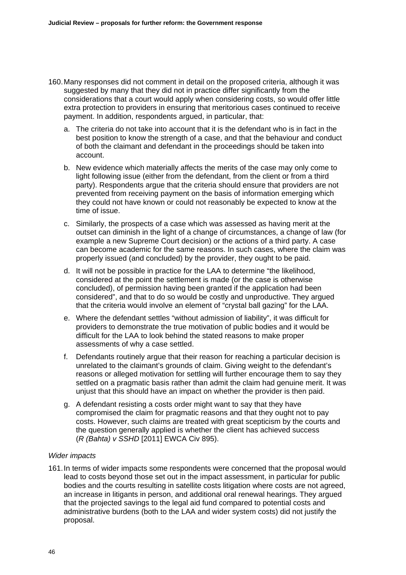- 160. Many responses did not comment in detail on the proposed criteria, although it was suggested by many that they did not in practice differ significantly from the considerations that a court would apply when considering costs, so would offer little extra protection to providers in ensuring that meritorious cases continued to receive payment. In addition, respondents argued, in particular, that:
	- a. The criteria do not take into account that it is the defendant who is in fact in the best position to know the strength of a case, and that the behaviour and conduct of both the claimant and defendant in the proceedings should be taken into account.
	- b. New evidence which materially affects the merits of the case may only come to light following issue (either from the defendant, from the client or from a third party). Respondents argue that the criteria should ensure that providers are not prevented from receiving payment on the basis of information emerging which they could not have known or could not reasonably be expected to know at the time of issue.
	- c. Similarly, the prospects of a case which was assessed as having merit at the outset can diminish in the light of a change of circumstances, a change of law (for example a new Supreme Court decision) or the actions of a third party. A case can become academic for the same reasons. In such cases, where the claim was properly issued (and concluded) by the provider, they ought to be paid.
	- d. It will not be possible in practice for the LAA to determine "the likelihood, considered at the point the settlement is made (or the case is otherwise concluded), of permission having been granted if the application had been considered", and that to do so would be costly and unproductive. They argued that the criteria would involve an element of "crystal ball gazing" for the LAA.
	- e. Where the defendant settles "without admission of liability", it was difficult for providers to demonstrate the true motivation of public bodies and it would be difficult for the LAA to look behind the stated reasons to make proper assessments of why a case settled.
	- f. Defendants routinely argue that their reason for reaching a particular decision is unrelated to the claimant's grounds of claim. Giving weight to the defendant's reasons or alleged motivation for settling will further encourage them to say they settled on a pragmatic basis rather than admit the claim had genuine merit. It was unjust that this should have an impact on whether the provider is then paid.
	- g. A defendant resisting a costs order might want to say that they have compromised the claim for pragmatic reasons and that they ought not to pay costs. However, such claims are treated with great scepticism by the courts and the question generally applied is whether the client has achieved success (*R (Bahta) v SSHD* [2011] EWCA Civ 895).

## *Wider impacts*

161. In terms of wider impacts some respondents were concerned that the proposal would lead to costs beyond those set out in the impact assessment, in particular for public bodies and the courts resulting in satellite costs litigation where costs are not agreed, an increase in litigants in person, and additional oral renewal hearings. They argued that the projected savings to the legal aid fund compared to potential costs and administrative burdens (both to the LAA and wider system costs) did not justify the proposal.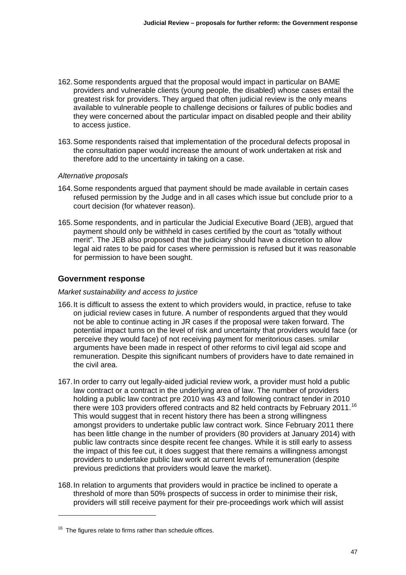- 162. Some respondents argued that the proposal would impact in particular on BAME providers and vulnerable clients (young people, the disabled) whose cases entail the greatest risk for providers. They argued that often judicial review is the only means available to vulnerable people to challenge decisions or failures of public bodies and they were concerned about the particular impact on disabled people and their ability to access justice.
- 163. Some respondents raised that implementation of the procedural defects proposal in the consultation paper would increase the amount of work undertaken at risk and therefore add to the uncertainty in taking on a case.

## *Alternative proposals*

- 164. Some respondents argued that payment should be made available in certain cases refused permission by the Judge and in all cases which issue but conclude prior to a court decision (for whatever reason).
- 165. Some respondents, and in particular the Judicial Executive Board (JEB), argued that payment should only be withheld in cases certified by the court as "totally without merit". The JEB also proposed that the judiciary should have a discretion to allow legal aid rates to be paid for cases where permission is refused but it was reasonable for permission to have been sought.

## **Government response**

## *Market sustainability and access to justice*

- 166. It is difficult to assess the extent to which providers would, in practice, refuse to take on judicial review cases in future. A number of respondents argued that they would not be able to continue acting in JR cases if the proposal were taken forward. The potential impact turns on the level of risk and uncertainty that providers would face (or perceive they would face) of not receiving payment for meritorious cases. Similar arguments have been made in respect of other reforms to civil legal aid scope and remuneration. Despite this significant numbers of providers have to date remained in the civil area.
- 167. In order to carry out legally-aided judicial review work, a provider must hold a public law contract or a contract in the underlying area of law. The number of providers holding a public law contract pre 2010 was 43 and following contract tender in 2010 there were 103 providers offered contracts and 82 held contracts by February 2011.<sup>[16](#page-3-0)</sup> This would suggest that in recent history there has been a strong willingness amongst providers to undertake public law contract work. Since February 2011 there has been little change in the number of providers (80 providers at January 2014) with public law contracts since despite recent fee changes. While it is still early to assess the impact of this fee cut, it does suggest that there remains a willingness amongst providers to undertake public law work at current levels of remuneration (despite previous predictions that providers would leave the market).
- 168. In relation to arguments that providers would in practice be inclined to operate a threshold of more than 50% prospects of success in order to minimise their risk, providers will still receive payment for their pre-proceedings work which will assist

1

<span id="page-3-0"></span> $16$  The figures relate to firms rather than schedule offices.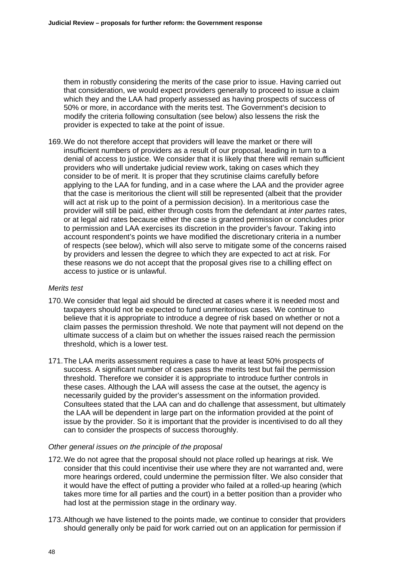them in robustly considering the merits of the case prior to issue. Having carried out that consideration, we would expect providers generally to proceed to issue a claim which they and the LAA had properly assessed as having prospects of success of 50% or more, in accordance with the merits test. The Government's decision to modify the criteria following consultation (see below) also lessens the risk the provider is expected to take at the point of issue.

169. We do not therefore accept that providers will leave the market or there will insufficient numbers of providers as a result of our proposal, leading in turn to a denial of access to justice. We consider that it is likely that there will remain sufficient providers who will undertake judicial review work, taking on cases which they consider to be of merit. It is proper that they scrutinise claims carefully before applying to the LAA for funding, and in a case where the LAA and the provider agree that the case is meritorious the client will still be represented (albeit that the provider will act at risk up to the point of a permission decision). In a meritorious case the provider will still be paid, either through costs from the defendant at *inter partes* rates, or at legal aid rates because either the case is granted permission or concludes prior to permission and LAA exercises its discretion in the provider's favour. Taking into account respondent's points we have modified the discretionary criteria in a number of respects (see below), which will also serve to mitigate some of the concerns raised by providers and lessen the degree to which they are expected to act at risk. For these reasons we do not accept that the proposal gives rise to a chilling effect on access to justice or is unlawful.

#### *Merits test*

- 170. We consider that legal aid should be directed at cases where it is needed most and taxpayers should not be expected to fund unmeritorious cases. We continue to believe that it is appropriate to introduce a degree of risk based on whether or not a claim passes the permission threshold. We note that payment will not depend on the ultimate success of a claim but on whether the issues raised reach the permission threshold, which is a lower test.
- 171. The LAA merits assessment requires a case to have at least 50% prospects of success. A significant number of cases pass the merits test but fail the permission threshold. Therefore we consider it is appropriate to introduce further controls in these cases. Although the LAA will assess the case at the outset, the agency is necessarily guided by the provider's assessment on the information provided. Consultees stated that the LAA can and do challenge that assessment, but ultimately the LAA will be dependent in large part on the information provided at the point of issue by the provider. So it is important that the provider is incentivised to do all they can to consider the prospects of success thoroughly.

## *Other general issues on the principle of the proposal*

- 172. We do not agree that the proposal should not place rolled up hearings at risk. We consider that this could incentivise their use where they are not warranted and, were more hearings ordered, could undermine the permission filter. We also consider that it would have the effect of putting a provider who failed at a rolled-up hearing (which takes more time for all parties and the court) in a better position than a provider who had lost at the permission stage in the ordinary way.
- 173. Although we have listened to the points made, we continue to consider that providers should generally only be paid for work carried out on an application for permission if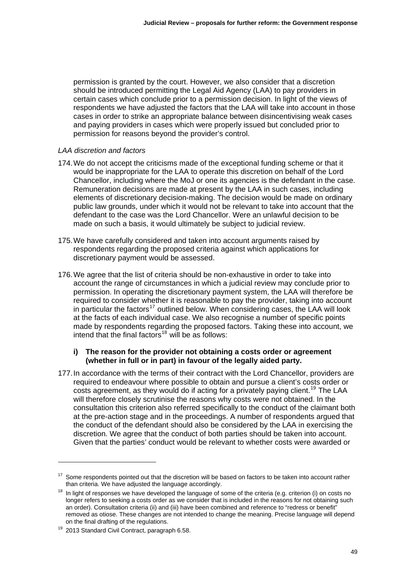permission is granted by the court. However, we also consider that a discretion should be introduced permitting the Legal Aid Agency (LAA) to pay providers in certain cases which conclude prior to a permission decision. In light of the views of respondents we have adjusted the factors that the LAA will take into account in those cases in order to strike an appropriate balance between disincentivising weak cases and paying providers in cases which were properly issued but concluded prior to permission for reasons beyond the provider's control.

## *LAA discretion and factors*

- 174. We do not accept the criticisms made of the exceptional funding scheme or that it would be inappropriate for the LAA to operate this discretion on behalf of the Lord Chancellor, including where the MoJ or one its agencies is the defendant in the case. Remuneration decisions are made at present by the LAA in such cases, including elements of discretionary decision-making. The decision would be made on ordinary public law grounds, under which it would not be relevant to take into account that the defendant to the case was the Lord Chancellor. Were an unlawful decision to be made on such a basis, it would ultimately be subject to judicial review.
- 175. We have carefully considered and taken into account arguments raised by respondents regarding the proposed criteria against which applications for discretionary payment would be assessed.
- 176. We agree that the list of criteria should be non-exhaustive in order to take into account the range of circumstances in which a judicial review may conclude prior to permission. In operating the discretionary payment system, the LAA will therefore be required to consider whether it is reasonable to pay the provider, taking into account in particular the factors<sup>[17](#page-5-0)</sup> outlined below. When considering cases, the LAA will look at the facts of each individual case. We also recognise a number of specific points made by respondents regarding the proposed factors. Taking these into account, we intend that the final factors<sup>[18](#page-5-1)</sup> will be as follows:

## **i) The reason for the provider not obtaining a costs order or agreement (whether in full or in part) in favour of the legally aided party.**

177. In accordance with the terms of their contract with the Lord Chancellor, providers are required to endeavour where possible to obtain and pursue a client's costs order or costs agreement, as they would do if acting for a privately paying client.<sup>[19](#page-5-2)</sup> The LAA will therefore closely scrutinise the reasons why costs were not obtained. In the consultation this criterion also referred specifically to the conduct of the claimant both at the pre-action stage and in the proceedings. A number of respondents argued that the conduct of the defendant should also be considered by the LAA in exercising the discretion. We agree that the conduct of both parties should be taken into account. Given that the parties' conduct would be relevant to whether costs were awarded or

1

<span id="page-5-0"></span>Some respondents pointed out that the discretion will be based on factors to be taken into account rather than criteria. We have adjusted the language accordingly.

<span id="page-5-1"></span> $18$  In light of responses we have developed the language of some of the criteria (e.g. criterion (i) on costs no longer refers to seeking a costs order as we consider that is included in the reasons for not obtaining such an order). Consultation criteria (ii) and (iii) have been combined and reference to "redress or benefit" removed as otiose. These changes are not intended to change the meaning. Precise language will depend<br>on the final drafting of the regulations.

<span id="page-5-2"></span> $19$  2013 Standard Civil Contract, paragraph 6.58.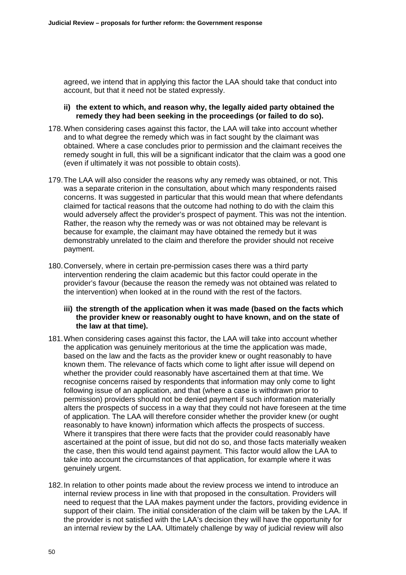agreed, we intend that in applying this factor the LAA should take that conduct into account, but that it need not be stated expressly.

## **ii) the extent to which, and reason why, the legally aided party obtained the remedy they had been seeking in the proceedings (or failed to do so).**

- 178. When considering cases against this factor, the LAA will take into account whether and to what degree the remedy which was in fact sought by the claimant was obtained. Where a case concludes prior to permission and the claimant receives the remedy sought in full, this will be a significant indicator that the claim was a good one (even if ultimately it was not possible to obtain costs).
- 179. The LAA will also consider the reasons why any remedy was obtained, or not. This was a separate criterion in the consultation, about which many respondents raised concerns. It was suggested in particular that this would mean that where defendants claimed for tactical reasons that the outcome had nothing to do with the claim this would adversely affect the provider's prospect of payment. This was not the intention. Rather, the reason why the remedy was or was not obtained may be relevant is because for example, the claimant may have obtained the remedy but it was demonstrably unrelated to the claim and therefore the provider should not receive payment.
- 180. Conversely, where in certain pre-permission cases there was a third party intervention rendering the claim academic but this factor could operate in the provider's favour (because the reason the remedy was not obtained was related to the intervention) when looked at in the round with the rest of the factors.

## **iii) the strength of the application when it was made (based on the facts which the provider knew or reasonably ought to have known, and on the state of the law at that time).**

- 181. When considering cases against this factor, the LAA will take into account whether the application was genuinely meritorious at the time the application was made, based on the law and the facts as the provider knew or ought reasonably to have known them. The relevance of facts which come to light after issue will depend on whether the provider could reasonably have ascertained them at that time. We recognise concerns raised by respondents that information may only come to light following issue of an application, and that (where a case is withdrawn prior to permission) providers should not be denied payment if such information materially alters the prospects of success in a way that they could not have foreseen at the time of application. The LAA will therefore consider whether the provider knew (or ought reasonably to have known) information which affects the prospects of success. Where it transpires that there were facts that the provider could reasonably have ascertained at the point of issue, but did not do so, and those facts materially weaken the case, then this would tend against payment. This factor would allow the LAA to take into account the circumstances of that application, for example where it was genuinely urgent.
- 182. In relation to other points made about the review process we intend to introduce an internal review process in line with that proposed in the consultation. Providers will need to request that the LAA makes payment under the factors, providing evidence in support of their claim. The initial consideration of the claim will be taken by the LAA. If the provider is not satisfied with the LAA's decision they will have the opportunity for an internal review by the LAA. Ultimately challenge by way of judicial review will also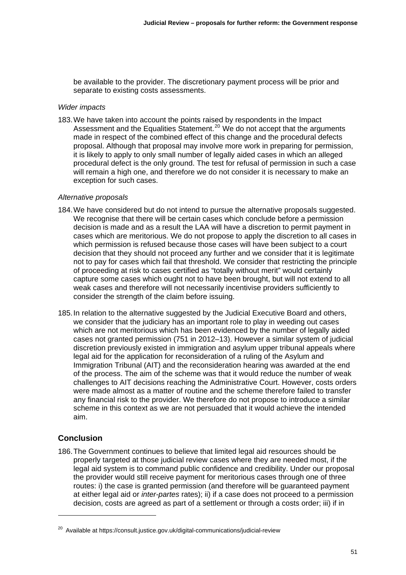be available to the provider. The discretionary payment process will be prior and separate to existing costs assessments.

#### *Wider impacts*

183. We have taken into account the points raised by respondents in the Impact Assessment and the Equalities Statement.<sup>[20](#page-7-0)</sup> We do not accept that the arguments made in respect of the combined effect of this change and the procedural defects proposal. Although that proposal may involve more work in preparing for permission, it is likely to apply to only small number of legally aided cases in which an alleged procedural defect is the only ground. The test for refusal of permission in such a case will remain a high one, and therefore we do not consider it is necessary to make an exception for such cases.

## *Alternative proposals*

- 184. We have considered but do not intend to pursue the alternative proposals suggested. We recognise that there will be certain cases which conclude before a permission decision is made and as a result the LAA will have a discretion to permit payment in cases which are meritorious. We do not propose to apply the discretion to all cases in which permission is refused because those cases will have been subject to a court decision that they should not proceed any further and we consider that it is legitimate not to pay for cases which fail that threshold. We consider that restricting the principle of proceeding at risk to cases certified as "totally without merit" would certainly capture some cases which ought not to have been brought, but will not extend to all weak cases and therefore will not necessarily incentivise providers sufficiently to consider the strength of the claim before issuing.
- 185. In relation to the alternative suggested by the Judicial Executive Board and others, we consider that the judiciary has an important role to play in weeding out cases which are not meritorious which has been evidenced by the number of legally aided cases not granted permission (751 in 2012–13). However a similar system of judicial discretion previously existed in immigration and asylum upper tribunal appeals where legal aid for the application for reconsideration of a ruling of the Asylum and Immigration Tribunal (AIT) and the reconsideration hearing was awarded at the end of the process. The aim of the scheme was that it would reduce the number of weak challenges to AIT decisions reaching the Administrative Court. However, costs orders were made almost as a matter of routine and the scheme therefore failed to transfer any financial risk to the provider. We therefore do not propose to introduce a similar scheme in this context as we are not persuaded that it would achieve the intended aim.

# **Conclusion**

1

186. The Government continues to believe that limited legal aid resources should be properly targeted at those judicial review cases where they are needed most, if the legal aid system is to command public confidence and credibility. Under our proposal the provider would still receive payment for meritorious cases through one of three routes: i) the case is granted permission (and therefore will be guaranteed payment at either legal aid or *inter-partes* rates); ii) if a case does not proceed to a permission decision, costs are agreed as part of a settlement or through a costs order; iii) if in

<span id="page-7-0"></span><sup>&</sup>lt;sup>20</sup> Available at https://consult.justice.gov.uk/digital-communications/judicial-review